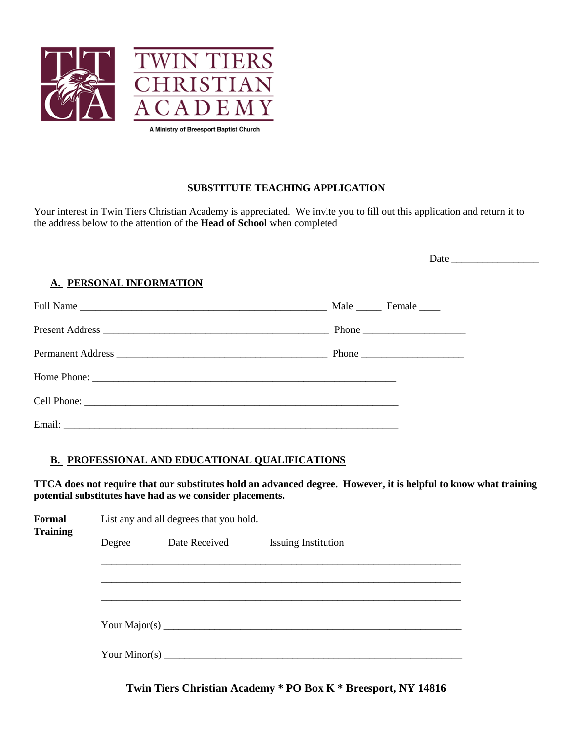

### **SUBSTITUTE TEACHING APPLICATION**

Your interest in Twin Tiers Christian Academy is appreciated. We invite you to fill out this application and return it to the address below to the attention of the **Head of School** when completed

| A. PERSONAL INFORMATION |                                                                           |  |
|-------------------------|---------------------------------------------------------------------------|--|
|                         |                                                                           |  |
|                         |                                                                           |  |
|                         | Phone $\frac{1}{\sqrt{1-\frac{1}{2}}\cdot\frac{1}{\sqrt{1-\frac{1}{2}}}}$ |  |
|                         |                                                                           |  |
|                         |                                                                           |  |
|                         |                                                                           |  |

### **B. PROFESSIONAL AND EDUCATIONAL QUALIFICATIONS**

**TTCA does not require that our substitutes hold an advanced degree. However, it is helpful to know what training potential substitutes have had as we consider placements.**

| Formal<br><b>Training</b> | List any and all degrees that you hold. |               |                               |  |
|---------------------------|-----------------------------------------|---------------|-------------------------------|--|
|                           | Degree                                  | Date Received | <b>Issuing Institution</b>    |  |
|                           |                                         |               |                               |  |
|                           |                                         |               |                               |  |
|                           |                                         |               |                               |  |
|                           |                                         |               |                               |  |
|                           |                                         |               |                               |  |
|                           |                                         |               |                               |  |
|                           |                                         |               | Your Minor(s) $\qquad \qquad$ |  |
|                           |                                         |               |                               |  |

**Twin Tiers Christian Academy \* PO Box K \* Breesport, NY 14816**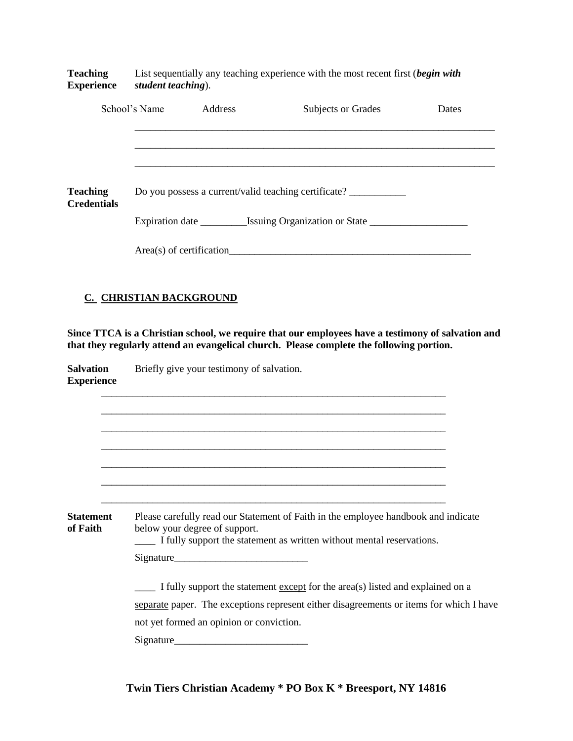**Teaching** List sequentially any teaching experience with the most recent first (*begin with* **Experience** *student teaching*).

|                                       | School's Name | Address                                                                          | Subjects or Grades       | Dates |  |
|---------------------------------------|---------------|----------------------------------------------------------------------------------|--------------------------|-------|--|
|                                       |               |                                                                                  |                          |       |  |
|                                       |               |                                                                                  |                          |       |  |
| <b>Teaching</b><br><b>Credentials</b> |               | Do you possess a current/valid teaching certificate? ___________________________ |                          |       |  |
|                                       |               |                                                                                  |                          |       |  |
|                                       |               |                                                                                  | Area(s) of certification |       |  |

### **C. CHRISTIAN BACKGROUND**

**Since TTCA is a Christian school, we require that our employees have a testimony of salvation and that they regularly attend an evangelical church. Please complete the following portion.**

| <b>Salvation</b><br><b>Experience</b> | Briefly give your testimony of salvation.                                                                                                                                                    |  |  |  |
|---------------------------------------|----------------------------------------------------------------------------------------------------------------------------------------------------------------------------------------------|--|--|--|
|                                       |                                                                                                                                                                                              |  |  |  |
|                                       |                                                                                                                                                                                              |  |  |  |
|                                       |                                                                                                                                                                                              |  |  |  |
|                                       |                                                                                                                                                                                              |  |  |  |
| <b>Statement</b><br>of Faith          | Please carefully read our Statement of Faith in the employee handbook and indicate<br>below your degree of support.<br>I fully support the statement as written without mental reservations. |  |  |  |

|           | . . | -- |  |
|-----------|-----|----|--|
|           |     |    |  |
|           |     |    |  |
| Signature |     |    |  |
|           |     |    |  |

\_\_\_\_ I fully support the statement except for the area(s) listed and explained on a separate paper. The exceptions represent either disagreements or items for which I have not yet formed an opinion or conviction.

| Signature |  |  |
|-----------|--|--|
|           |  |  |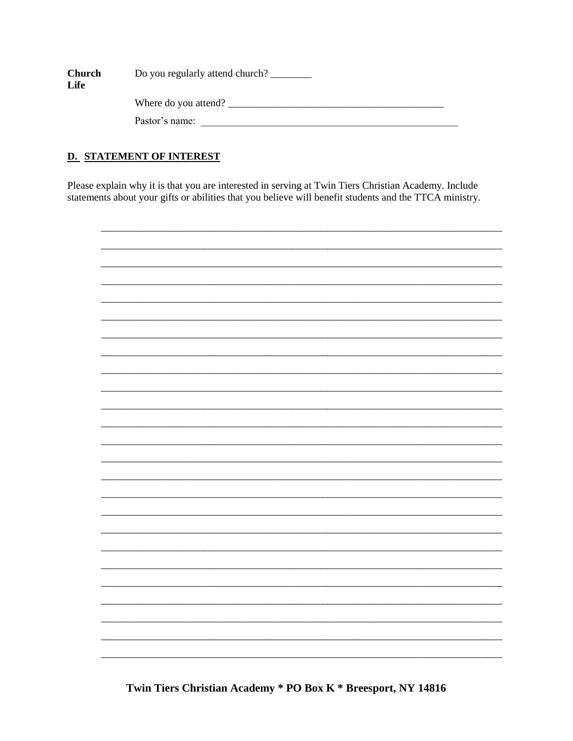| <b>Church</b> | Do you regularly attend church? |  |  |
|---------------|---------------------------------|--|--|
| Life          |                                 |  |  |
|               | Where do you attend?            |  |  |
|               | Pastor's name:                  |  |  |

# **D. STATEMENT OF INTEREST**

Please explain why it is that you are interested in serving at Twin Tiers Christian Academy. Include statements about your gifts or abilities that you believe will benefit students and the TTCA ministry.



Twin Tiers Christian Academy \* PO Box K \* Breesport, NY 14816